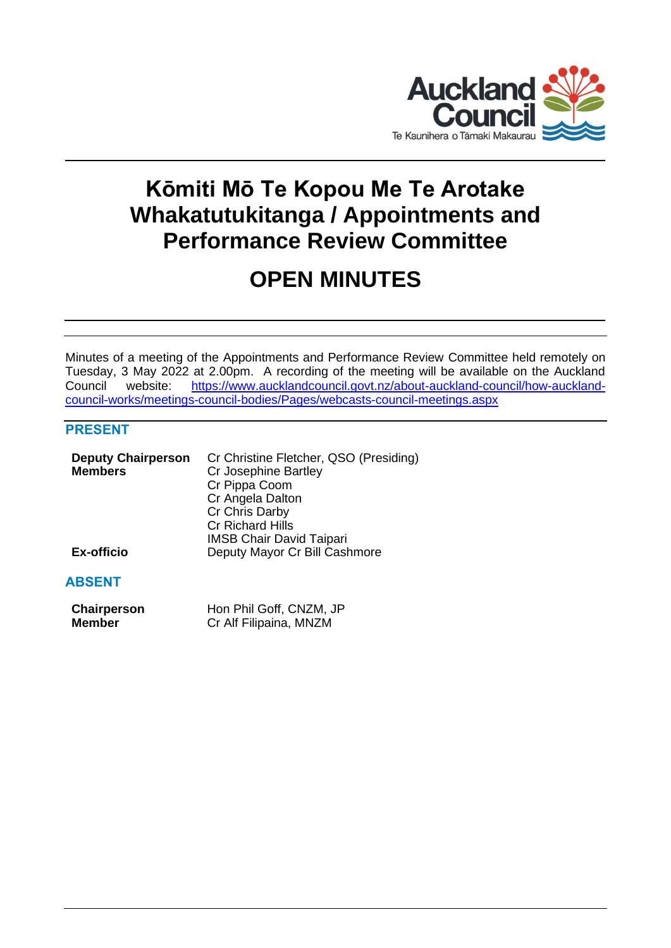

# **Kōmiti Mō Te Kopou Me Te Arotake Whakatutukitanga / Appointments and Performance Review Committee**

# **OPEN MINUTES**

Minutes of a meeting of the Appointments and Performance Review Committee held remotely on Tuesday, 3 May 2022 at 2.00pm. A recording of the meeting will be available on the Auckland Council website: [https://www.aucklandcouncil.govt.nz/about-auckland-council/how-auckland](https://www.aucklandcouncil.govt.nz/about-auckland-council/how-auckland-council-works/meetings-council-bodies/Pages/webcasts-council-meetings.aspx)[council-works/meetings-council-bodies/Pages/webcasts-council-meetings.aspx](https://www.aucklandcouncil.govt.nz/about-auckland-council/how-auckland-council-works/meetings-council-bodies/Pages/webcasts-council-meetings.aspx)

# **PRESENT**

| <b>Deputy Chairperson</b> | Cr Christine Fletcher, QSO (Presiding) |
|---------------------------|----------------------------------------|
| <b>Members</b>            | Cr Josephine Bartley                   |
|                           | Cr Pippa Coom                          |
|                           | Cr Angela Dalton                       |
|                           | Cr Chris Darby                         |
|                           | Cr Richard Hills                       |
|                           | <b>IMSB Chair David Taipari</b>        |
| <b>Ex-officio</b>         | Deputy Mayor Cr Bill Cashmore          |
|                           |                                        |

# **ABSENT**

| Chairperson | Hon Phil Goff, CNZM, JP |
|-------------|-------------------------|
| Member      | Cr Alf Filipaina, MNZM  |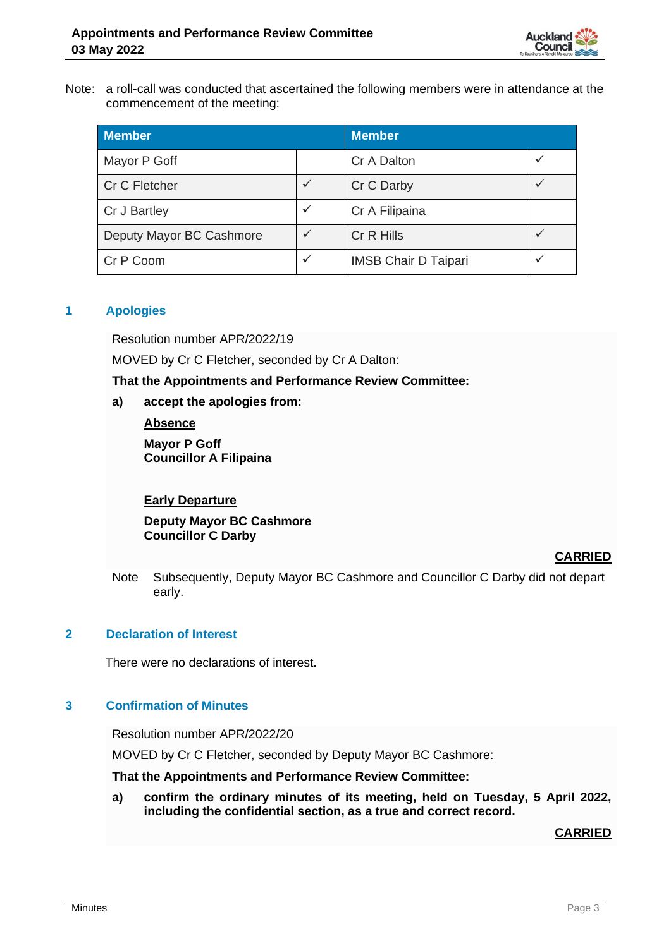

Note: a roll-call was conducted that ascertained the following members were in attendance at the commencement of the meeting:

| <b>Member</b>            |              | <b>Member</b>               |              |
|--------------------------|--------------|-----------------------------|--------------|
| Mayor P Goff             |              | Cr A Dalton                 | $\checkmark$ |
| Cr C Fletcher            | $\checkmark$ | Cr C Darby                  | $\checkmark$ |
| Cr J Bartley             | $\checkmark$ | Cr A Filipaina              |              |
| Deputy Mayor BC Cashmore | $\checkmark$ | Cr R Hills                  |              |
| Cr P Coom                | $\checkmark$ | <b>IMSB Chair D Taipari</b> | $\checkmark$ |

# **1 Apologies**

Resolution number APR/2022/19

MOVED by Cr C Fletcher, seconded by Cr A Dalton:

**That the Appointments and Performance Review Committee:**

**a) accept the apologies from:**

**Absence**

**Mayor P Goff Councillor A Filipaina**

#### **Early Departure**

**Deputy Mayor BC Cashmore Councillor C Darby**

#### **CARRIED**

Note Subsequently, Deputy Mayor BC Cashmore and Councillor C Darby did not depart early.

# **2 Declaration of Interest**

There were no declarations of interest.

#### **3 Confirmation of Minutes**

Resolution number APR/2022/20

MOVED by Cr C Fletcher, seconded by Deputy Mayor BC Cashmore:

**That the Appointments and Performance Review Committee:**

**a) confirm the ordinary minutes of its meeting, held on Tuesday, 5 April 2022, including the confidential section, as a true and correct record.**

**CARRIED**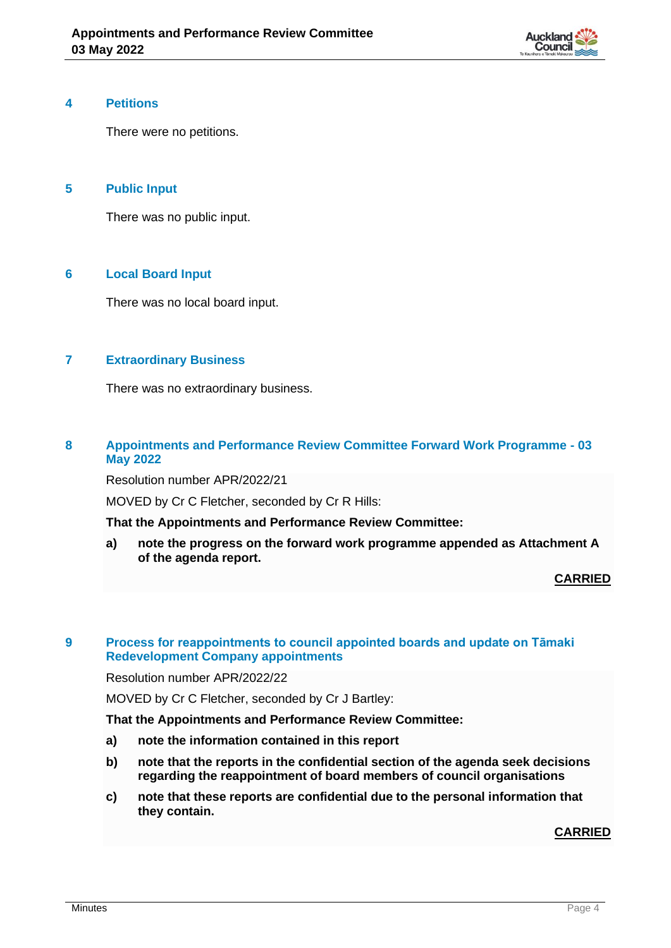

#### **4 Petitions**

There were no petitions.

# **5 Public Input**

There was no public input.

# **6 Local Board Input**

There was no local board input.

# **7 Extraordinary Business**

There was no extraordinary business.

#### **8 Appointments and Performance Review Committee Forward Work Programme - 03 May 2022**

Resolution number APR/2022/21

MOVED by Cr C Fletcher, seconded by Cr R Hills:

**That the Appointments and Performance Review Committee:**

**a) note the progress on the forward work programme appended as Attachment A of the agenda report.**

**CARRIED**

#### **9 Process for reappointments to council appointed boards and update on Tāmaki Redevelopment Company appointments**

Resolution number APR/2022/22

MOVED by Cr C Fletcher, seconded by Cr J Bartley:

**That the Appointments and Performance Review Committee:**

- **a) note the information contained in this report**
- **b) note that the reports in the confidential section of the agenda seek decisions regarding the reappointment of board members of council organisations**
- **c) note that these reports are confidential due to the personal information that they contain.**

**CARRIED**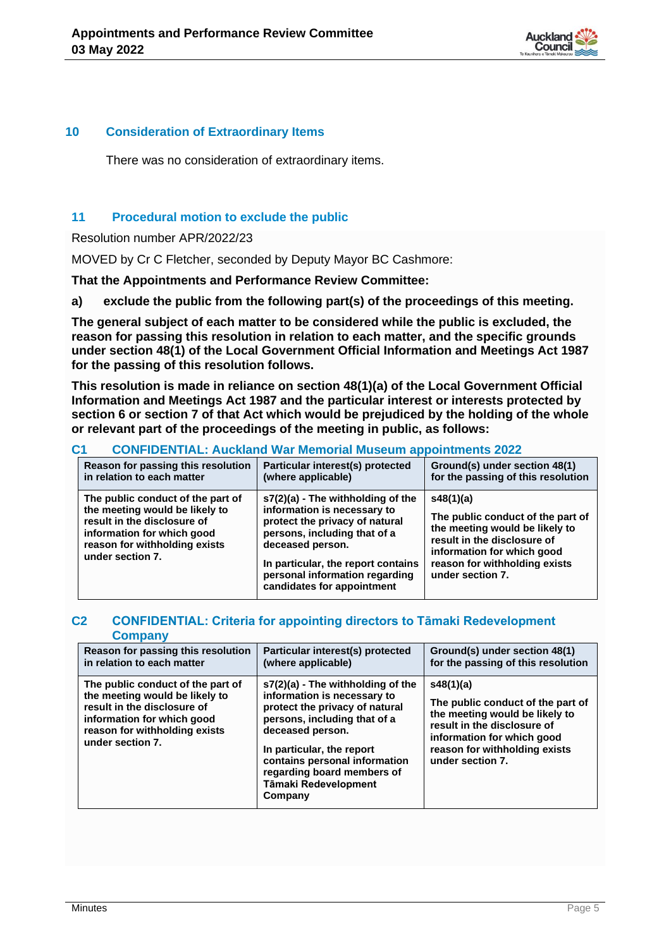

#### **10 Consideration of Extraordinary Items**

There was no consideration of extraordinary items.

# **11 Procedural motion to exclude the public**

Resolution number APR/2022/23

MOVED by Cr C Fletcher, seconded by Deputy Mayor BC Cashmore:

**That the Appointments and Performance Review Committee:**

**a) exclude the public from the following part(s) of the proceedings of this meeting.**

**The general subject of each matter to be considered while the public is excluded, the reason for passing this resolution in relation to each matter, and the specific grounds under section 48(1) of the Local Government Official Information and Meetings Act 1987 for the passing of this resolution follows.**

**This resolution is made in reliance on section 48(1)(a) of the Local Government Official Information and Meetings Act 1987 and the particular interest or interests protected by section 6 or section 7 of that Act which would be prejudiced by the holding of the whole or relevant part of the proceedings of the meeting in public, as follows:**

# **C1 CONFIDENTIAL: Auckland War Memorial Museum appointments 2022**

| Reason for passing this resolution                                                                                                                                                    | Particular interest(s) protected                                                                                                                                                                                                                               | Ground(s) under section 48(1)      |
|---------------------------------------------------------------------------------------------------------------------------------------------------------------------------------------|----------------------------------------------------------------------------------------------------------------------------------------------------------------------------------------------------------------------------------------------------------------|------------------------------------|
| in relation to each matter                                                                                                                                                            | (where applicable)                                                                                                                                                                                                                                             | for the passing of this resolution |
| The public conduct of the part of<br>the meeting would be likely to<br>result in the disclosure of<br>information for which good<br>reason for withholding exists<br>under section 7. | $s7(2)(a)$ - The withholding of the<br>information is necessary to<br>protect the privacy of natural<br>persons, including that of a<br>deceased person.<br>In particular, the report contains<br>personal information regarding<br>candidates for appointment |                                    |

#### **C2 CONFIDENTIAL: Criteria for appointing directors to Tāmaki Redevelopment Company**

| Reason for passing this resolution                                                                                                                                                    | Particular interest(s) protected                                                                                                                                                                                                                                                      | Ground(s) under section 48(1)                                                                                                                                                                      |
|---------------------------------------------------------------------------------------------------------------------------------------------------------------------------------------|---------------------------------------------------------------------------------------------------------------------------------------------------------------------------------------------------------------------------------------------------------------------------------------|----------------------------------------------------------------------------------------------------------------------------------------------------------------------------------------------------|
| in relation to each matter                                                                                                                                                            | (where applicable)                                                                                                                                                                                                                                                                    | for the passing of this resolution                                                                                                                                                                 |
| The public conduct of the part of<br>the meeting would be likely to<br>result in the disclosure of<br>information for which good<br>reason for withholding exists<br>under section 7. | s7(2)(a) - The withholding of the<br>information is necessary to<br>protect the privacy of natural<br>persons, including that of a<br>deceased person.<br>In particular, the report<br>contains personal information<br>regarding board members of<br>Tāmaki Redevelopment<br>Company | s48(1)(a)<br>The public conduct of the part of<br>the meeting would be likely to<br>result in the disclosure of<br>information for which good<br>reason for withholding exists<br>under section 7. |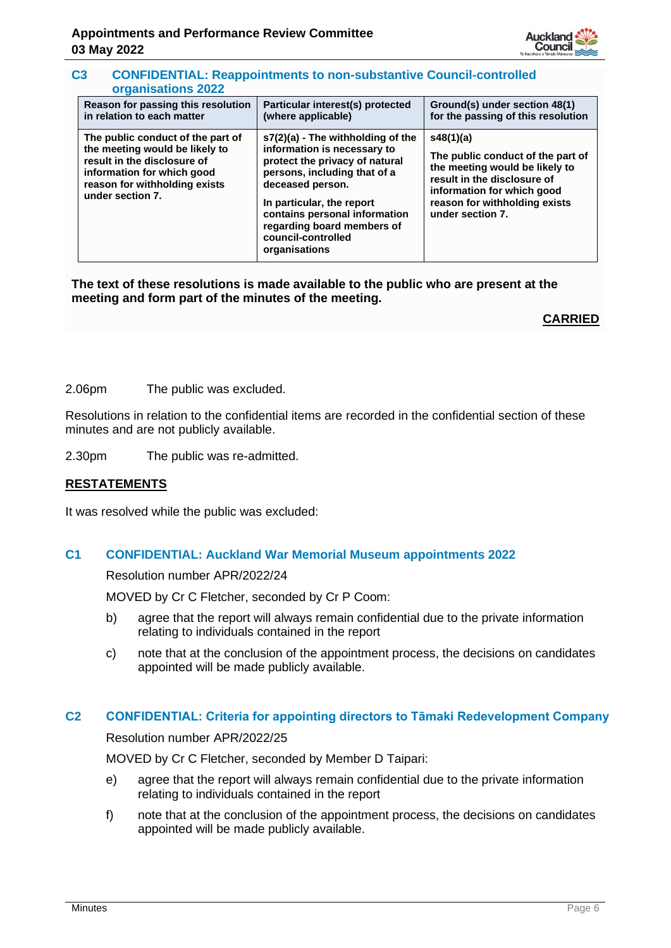

#### **C3 CONFIDENTIAL: Reappointments to non-substantive Council-controlled organisations 2022**

| Reason for passing this resolution                                                                                                                                                    | Particular interest(s) protected                                                                                                                                                                                                                                                            | Ground(s) under section 48(1)                                                                                                                                                                      |
|---------------------------------------------------------------------------------------------------------------------------------------------------------------------------------------|---------------------------------------------------------------------------------------------------------------------------------------------------------------------------------------------------------------------------------------------------------------------------------------------|----------------------------------------------------------------------------------------------------------------------------------------------------------------------------------------------------|
| in relation to each matter                                                                                                                                                            | (where applicable)                                                                                                                                                                                                                                                                          | for the passing of this resolution                                                                                                                                                                 |
| The public conduct of the part of<br>the meeting would be likely to<br>result in the disclosure of<br>information for which good<br>reason for withholding exists<br>under section 7. | $s7(2)(a)$ - The withholding of the<br>information is necessary to<br>protect the privacy of natural<br>persons, including that of a<br>deceased person.<br>In particular, the report<br>contains personal information<br>regarding board members of<br>council-controlled<br>organisations | s48(1)(a)<br>The public conduct of the part of<br>the meeting would be likely to<br>result in the disclosure of<br>information for which good<br>reason for withholding exists<br>under section 7. |

**The text of these resolutions is made available to the public who are present at the meeting and form part of the minutes of the meeting.**

**CARRIED**

2.06pm The public was excluded.

Resolutions in relation to the confidential items are recorded in the confidential section of these minutes and are not publicly available.

2.30pm The public was re-admitted.

# **RESTATEMENTS**

It was resolved while the public was excluded:

#### **C1 CONFIDENTIAL: Auckland War Memorial Museum appointments 2022**

Resolution number APR/2022/24

MOVED by Cr C Fletcher, seconded by Cr P Coom:

- b) agree that the report will always remain confidential due to the private information relating to individuals contained in the report
- c) note that at the conclusion of the appointment process, the decisions on candidates appointed will be made publicly available.

#### **C2 CONFIDENTIAL: Criteria for appointing directors to Tāmaki Redevelopment Company**

Resolution number APR/2022/25

MOVED by Cr C Fletcher, seconded by Member D Taipari:

- e) agree that the report will always remain confidential due to the private information relating to individuals contained in the report
- f) note that at the conclusion of the appointment process, the decisions on candidates appointed will be made publicly available.